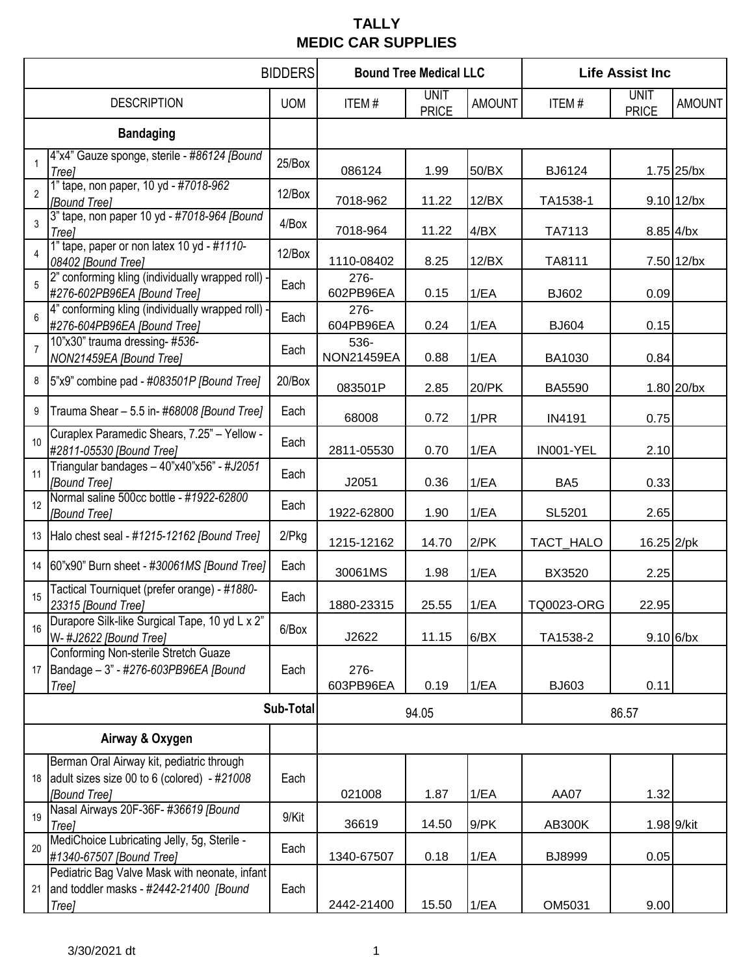|                |                                                                                                          | <b>BIDDERS</b> | <b>Bound Tree Medical LLC</b> |                             | <b>Life Assist Inc</b> |                 |                             |               |
|----------------|----------------------------------------------------------------------------------------------------------|----------------|-------------------------------|-----------------------------|------------------------|-----------------|-----------------------------|---------------|
|                | <b>DESCRIPTION</b>                                                                                       | <b>UOM</b>     | ITEM#                         | <b>UNIT</b><br><b>PRICE</b> | <b>AMOUNT</b>          | ITEM#           | <b>UNIT</b><br><b>PRICE</b> | <b>AMOUNT</b> |
|                | <b>Bandaging</b>                                                                                         |                |                               |                             |                        |                 |                             |               |
|                | 4"x4" Gauze sponge, sterile - #86124 [Bound<br><b>Treel</b>                                              | 25/Box         | 086124                        | 1.99                        | 50/BX                  | BJ6124          |                             | 1.75 25/bx    |
|                | 1" tape, non paper, 10 yd - #7018-962<br>[Bound Tree]                                                    | 12/Box         | 7018-962                      | 11.22                       | 12/BX                  | TA1538-1        |                             | 9.10 12/bx    |
| 3              | 3" tape, non paper 10 yd - #7018-964 [Bound]<br>Tree]                                                    | 4/Box          | 7018-964                      | 11.22                       | 4/BX                   | TA7113          |                             | $8.85$ 4/bx   |
|                | 1" tape, paper or non latex 10 yd - #1110-<br>08402 [Bound Tree]                                         | 12/Box         | 1110-08402                    | 8.25                        | 12/BX                  | TA8111          |                             | 7.50 12/bx    |
| 5              | 2" conforming kling (individually wrapped roll)<br>#276-602PB96EA [Bound Tree]                           | Each           | 276-<br>602PB96EA             | 0.15                        | 1/EA                   | <b>BJ602</b>    | 0.09                        |               |
|                | 4" conforming kling (individually wrapped roll)<br>#276-604PB96EA [Bound Tree]                           | Each           | 276-<br>604PB96EA             | 0.24                        | 1/EA                   | <b>BJ604</b>    | 0.15                        |               |
| $\overline{7}$ | 10"x30" trauma dressing-#536-<br>NON21459EA [Bound Tree]                                                 | Each           | 536-<br><b>NON21459EA</b>     | 0.88                        | 1/EA                   | BA1030          | 0.84                        |               |
| 8              | 5"x9" combine pad - #083501P [Bound Tree]                                                                | 20/Box         | 083501P                       | 2.85                        | 20/PK                  | <b>BA5590</b>   |                             | 1.80 20/bx    |
| 9              | Trauma Shear - 5.5 in- #68008 [Bound Tree]                                                               | Each           | 68008                         | 0.72                        | 1/PR                   | IN4191          | 0.75                        |               |
| 10             | Curaplex Paramedic Shears, 7.25" - Yellow -<br>#2811-05530 [Bound Tree]                                  | Each           | 2811-05530                    | 0.70                        | 1/EA                   | IN001-YEL       | 2.10                        |               |
| 11             | Triangular bandages - 40"x40"x56" - #J2051<br>[Bound Tree]                                               | Each           | J2051                         | 0.36                        | 1/EA                   | BA <sub>5</sub> | 0.33                        |               |
| 12             | Normal saline 500cc bottle - #1922-62800<br>[Bound Tree]                                                 | Each           | 1922-62800                    | 1.90                        | 1/EA                   | <b>SL5201</b>   | 2.65                        |               |
| 13             | Halo chest seal - #1215-12162 [Bound Tree]                                                               | 2/Pkg          | 1215-12162                    | 14.70                       | 2/PK                   | TACT_HALO       | 16.25 2/pk                  |               |
| 14             | 60"x90" Burn sheet - #30061MS [Bound Tree]                                                               | Each           | 30061MS                       | 1.98                        | 1/EA                   | <b>BX3520</b>   | 2.25                        |               |
| 15             | Tactical Tourniquet (prefer orange) - #1880-<br>23315 [Bound Tree]                                       | Each           | 1880-23315                    | 25.55                       | 1/EA                   | TQ0023-ORG      | 22.95                       |               |
| 16             | Durapore Silk-like Surgical Tape, 10 yd L x 2"<br>W-#J2622 [Bound Tree]                                  | 6/Box          | J2622                         | 11.15                       | 6/BX                   | TA1538-2        |                             | $9.10 6$ /bx  |
| 17             | Conforming Non-sterile Stretch Guaze<br>Bandage $-3$ " - #276-603PB96EA [Bound]<br>Tree]                 | Each           | 276-<br>603PB96EA             | 0.19                        | 1/EA                   | <b>BJ603</b>    | 0.11                        |               |
|                |                                                                                                          | Sub-Total      |                               | 94.05                       |                        |                 | 86.57                       |               |
|                | Airway & Oxygen                                                                                          |                |                               |                             |                        |                 |                             |               |
| 18             | Berman Oral Airway kit, pediatric through<br>adult sizes size 00 to 6 (colored) - #21008<br>[Bound Tree] | Each           | 021008                        | 1.87                        | 1/EA                   | <b>AA07</b>     | 1.32                        |               |
| 19             | Nasal Airways 20F-36F-#36619 [Bound<br><b>Treel</b>                                                      | 9/Kit          | 36619                         | 14.50                       | $9$ /PK                | <b>AB300K</b>   |                             | 1.98 9/kit    |
| 20             | MediChoice Lubricating Jelly, 5g, Sterile -<br>#1340-67507 [Bound Tree]                                  | Each           | 1340-67507                    | 0.18                        | 1/EA                   | <b>BJ8999</b>   | 0.05                        |               |
| 21             | Pediatric Bag Valve Mask with neonate, infant<br>and toddler masks - #2442-21400 [Bound]<br>Tree]        | Each           | 2442-21400                    | 15.50                       | 1/EA                   | OM5031          | 9.00                        |               |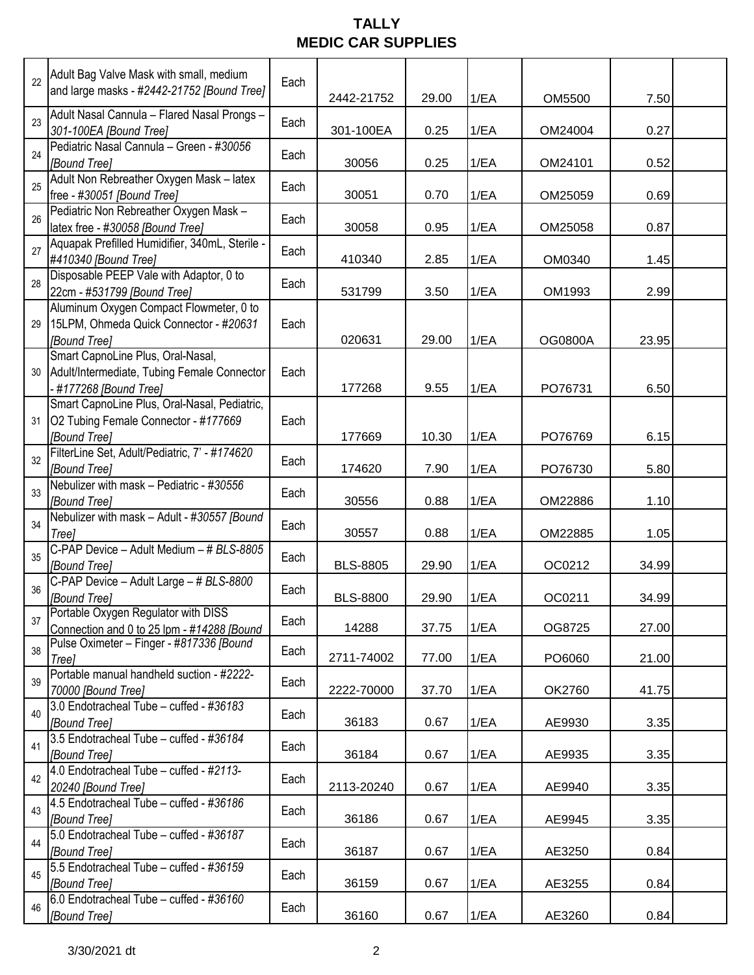| 22 | Adult Bag Valve Mask with small, medium<br>and large masks - #2442-21752 [Bound Tree]                      | Each | 2442-21752      | 29.00 | 1/EA | OM5500         | 7.50  |  |
|----|------------------------------------------------------------------------------------------------------------|------|-----------------|-------|------|----------------|-------|--|
| 23 | Adult Nasal Cannula - Flared Nasal Prongs -<br>301-100EA [Bound Tree]                                      | Each | 301-100EA       | 0.25  | 1/EA | OM24004        | 0.27  |  |
| 24 | Pediatric Nasal Cannula - Green - #30056<br><b>Bound Treel</b>                                             | Each | 30056           | 0.25  | 1/EA | OM24101        | 0.52  |  |
| 25 | Adult Non Rebreather Oxygen Mask - latex<br>free - #30051 [Bound Tree]                                     | Each | 30051           | 0.70  | 1/EA | OM25059        | 0.69  |  |
| 26 | Pediatric Non Rebreather Oxygen Mask -<br>latex free - #30058 [Bound Tree]                                 | Each | 30058           | 0.95  | 1/EA | OM25058        | 0.87  |  |
| 27 | Aquapak Prefilled Humidifier, 340mL, Sterile -<br>#410340 [Bound Tree]                                     | Each | 410340          | 2.85  | 1/EA | OM0340         | 1.45  |  |
| 28 | Disposable PEEP Vale with Adaptor, 0 to<br>22cm - #531799 [Bound Tree]                                     | Each | 531799          | 3.50  | 1/EA | OM1993         | 2.99  |  |
| 29 | Aluminum Oxygen Compact Flowmeter, 0 to<br>15LPM, Ohmeda Quick Connector - #20631<br><b>Bound Treel</b>    | Each | 020631          | 29.00 | 1/EA | <b>OG0800A</b> | 23.95 |  |
| 30 | Smart CapnoLine Plus, Oral-Nasal,<br>Adult/Intermediate, Tubing Female Connector<br>- #177268 [Bound Tree] | Each | 177268          | 9.55  | 1/EA | PO76731        | 6.50  |  |
| 31 | Smart CapnoLine Plus, Oral-Nasal, Pediatric,<br>O2 Tubing Female Connector - #177669<br>[Bound Tree]       | Each | 177669          | 10.30 | 1/EA | PO76769        | 6.15  |  |
| 32 | FilterLine Set, Adult/Pediatric, 7' - #174620<br>[Bound Tree]                                              | Each | 174620          | 7.90  | 1/EA | PO76730        | 5.80  |  |
| 33 | Nebulizer with mask - Pediatric - #30556<br>[Bound Tree]                                                   | Each | 30556           | 0.88  | 1/EA | OM22886        | 1.10  |  |
| 34 | Nebulizer with mask - Adult - #30557 [Bound<br>Tree]                                                       | Each | 30557           | 0.88  | 1/EA | OM22885        | 1.05  |  |
| 35 | C-PAP Device - Adult Medium - # BLS-8805<br>[Bound Tree]                                                   | Each | <b>BLS-8805</b> | 29.90 | 1/EA | OC0212         | 34.99 |  |
| 36 | C-PAP Device - Adult Large - # BLS-8800<br>[Bound Tree]                                                    | Each | <b>BLS-8800</b> | 29.90 | 1/EA | OC0211         | 34.99 |  |
| 37 | Portable Oxygen Regulator with DISS<br>Connection and 0 to 25 lpm - #14288 [Bound                          | Each | 14288           | 37.75 | 1/EA | OG8725         | 27.00 |  |
| 38 | Pulse Oximeter - Finger - #817336 [Bound<br><b>Treel</b>                                                   | Each | 2711-74002      | 77.00 | 1/EA | PO6060         | 21.00 |  |
| 39 | Portable manual handheld suction - #2222-<br>70000 [Bound Tree]                                            | Each | 2222-70000      | 37.70 | 1/EA | OK2760         | 41.75 |  |
| 40 | 3.0 Endotracheal Tube - cuffed - #36183<br>[Bound Tree]                                                    | Each | 36183           | 0.67  | 1/EA | AE9930         | 3.35  |  |
| 41 | 3.5 Endotracheal Tube - cuffed - #36184<br>[Bound Tree]                                                    | Each | 36184           | 0.67  | 1/EA | AE9935         | 3.35  |  |
| 42 | 4.0 Endotracheal Tube - cuffed - #2113-<br>20240 [Bound Tree]                                              | Each | 2113-20240      | 0.67  | 1/EA | AE9940         | 3.35  |  |
| 43 | 4.5 Endotracheal Tube - cuffed - #36186<br>[Bound Tree]                                                    | Each | 36186           | 0.67  | 1/EA | AE9945         | 3.35  |  |
| 44 | 5.0 Endotracheal Tube - cuffed - #36187<br>[Bound Tree]                                                    | Each | 36187           | 0.67  | 1/EA | AE3250         | 0.84  |  |
| 45 | 5.5 Endotracheal Tube - cuffed - #36159<br>[Bound Tree]                                                    | Each | 36159           | 0.67  | 1/EA | AE3255         | 0.84  |  |
| 46 | 6.0 Endotracheal Tube - cuffed - #36160<br>[Bound Tree]                                                    | Each | 36160           | 0.67  | 1/EA | AE3260         | 0.84  |  |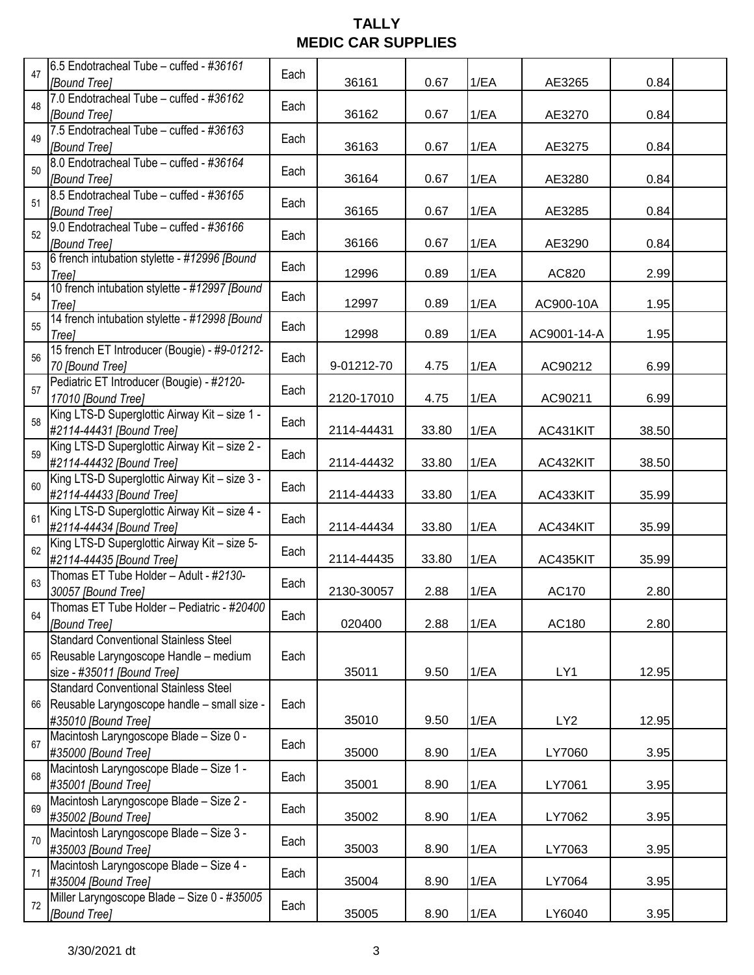| 47 | 6.5 Endotracheal Tube - cuffed - #36161<br><b>[Bound Tree]</b>             | Each | 36161      | 0.67  | 1/EA | AE3265          | 0.84  |  |
|----|----------------------------------------------------------------------------|------|------------|-------|------|-----------------|-------|--|
| 48 | 7.0 Endotracheal Tube - cuffed - #36162                                    | Each |            |       |      |                 |       |  |
|    | [Bound Tree]                                                               |      | 36162      | 0.67  | 1/EA | AE3270          | 0.84  |  |
| 49 | 7.5 Endotracheal Tube - cuffed - #36163<br>[Bound Tree]                    | Each | 36163      | 0.67  | 1/EA | AE3275          | 0.84  |  |
|    | 8.0 Endotracheal Tube - cuffed - #36164                                    |      |            |       |      |                 |       |  |
| 50 | [Bound Tree]                                                               | Each | 36164      | 0.67  | 1/EA | AE3280          | 0.84  |  |
| 51 | 8.5 Endotracheal Tube - cuffed - #36165                                    | Each |            |       |      |                 |       |  |
|    | [Bound Tree]<br>9.0 Endotracheal Tube - cuffed - #36166                    |      | 36165      | 0.67  | 1/EA | AE3285          | 0.84  |  |
| 52 | <b>Bound Treel</b>                                                         | Each | 36166      | 0.67  | 1/EA | AE3290          | 0.84  |  |
| 53 | 6 french intubation stylette - #12996 [Bound                               | Each |            |       |      |                 |       |  |
|    | <b>Treel</b><br>10 french intubation stylette - #12997 [Bound              |      | 12996      | 0.89  | 1/EA | AC820           | 2.99  |  |
| 54 | Treel                                                                      | Each | 12997      | 0.89  | 1/EA | AC900-10A       | 1.95  |  |
| 55 | 14 french intubation stylette - #12998 [Bound                              | Each | 12998      | 0.89  | 1/EA | AC9001-14-A     | 1.95  |  |
|    | Tree]<br>15 french ET Introducer (Bougie) - #9-01212-                      |      |            |       |      |                 |       |  |
| 56 | 70 [Bound Tree]                                                            | Each | 9-01212-70 | 4.75  | 1/EA | AC90212         | 6.99  |  |
| 57 | Pediatric ET Introducer (Bougie) - #2120-                                  | Each |            |       |      |                 |       |  |
|    | 17010 [Bound Tree]<br>King LTS-D Superglottic Airway Kit - size 1 -        |      | 2120-17010 | 4.75  | 1/EA | AC90211         | 6.99  |  |
| 58 | #2114-44431 [Bound Tree]                                                   | Each | 2114-44431 | 33.80 | 1/EA | AC431KIT        | 38.50 |  |
| 59 | King LTS-D Superglottic Airway Kit - size 2 -                              | Each |            |       |      |                 |       |  |
|    | #2114-44432 [Bound Tree]                                                   |      | 2114-44432 | 33.80 | 1/EA | AC432KIT        | 38.50 |  |
| 60 | King LTS-D Superglottic Airway Kit - size 3 -<br>#2114-44433 [Bound Tree]  | Each | 2114-44433 | 33.80 | 1/EA | AC433KIT        | 35.99 |  |
| 61 | King LTS-D Superglottic Airway Kit - size 4 -                              | Each |            |       |      |                 |       |  |
|    | #2114-44434 [Bound Tree]                                                   |      | 2114-44434 | 33.80 | 1/EA | AC434KIT        | 35.99 |  |
| 62 | King LTS-D Superglottic Airway Kit - size 5-<br>#2114-44435 [Bound Tree]   | Each | 2114-44435 | 33.80 | 1/EA | AC435KIT        | 35.99 |  |
| 63 | Thomas ET Tube Holder - Adult - #2130-                                     | Each |            |       |      |                 |       |  |
|    | 30057 [Bound Tree]<br>Thomas ET Tube Holder - Pediatric - #20400           |      | 2130-30057 | 2.88  | 1/EA | AC170           | 2.80  |  |
| 64 | [Bound Tree]                                                               | Each | 020400     | 2.88  | 1/EA | AC180           | 2.80  |  |
|    | <b>Standard Conventional Stainless Steel</b>                               |      |            |       |      |                 |       |  |
| 65 | Reusable Laryngoscope Handle - medium                                      | Each |            |       |      |                 |       |  |
|    | size - #35011 [Bound Tree]<br><b>Standard Conventional Stainless Steel</b> |      | 35011      | 9.50  | 1/EA | LY1             | 12.95 |  |
| 66 | Reusable Laryngoscope handle - small size -                                | Each |            |       |      |                 |       |  |
|    | #35010 [Bound Tree]                                                        |      | 35010      | 9.50  | 1/EA | LY <sub>2</sub> | 12.95 |  |
| 67 | Macintosh Laryngoscope Blade - Size 0 -                                    | Each |            |       |      |                 |       |  |
|    | #35000 [Bound Tree]<br>Macintosh Laryngoscope Blade - Size 1 -             |      | 35000      | 8.90  | 1/EA | LY7060          | 3.95  |  |
| 68 | #35001 [Bound Tree]                                                        | Each | 35001      | 8.90  | 1/EA | LY7061          | 3.95  |  |
| 69 | Macintosh Laryngoscope Blade - Size 2 -                                    | Each |            |       |      |                 |       |  |
|    | #35002 [Bound Tree]<br>Macintosh Laryngoscope Blade - Size 3 -             |      | 35002      | 8.90  | 1/EA | LY7062          | 3.95  |  |
| 70 | #35003 [Bound Tree]                                                        | Each | 35003      | 8.90  | 1/EA | LY7063          | 3.95  |  |
| 71 | Macintosh Laryngoscope Blade - Size 4 -                                    | Each |            |       |      |                 |       |  |
|    | #35004 [Bound Tree]<br>Miller Laryngoscope Blade - Size 0 - #35005         |      | 35004      | 8.90  | 1/EA | LY7064          | 3.95  |  |
| 72 | [Bound Tree]                                                               | Each | 35005      | 8.90  | 1/EA | LY6040          | 3.95  |  |
|    |                                                                            |      |            |       |      |                 |       |  |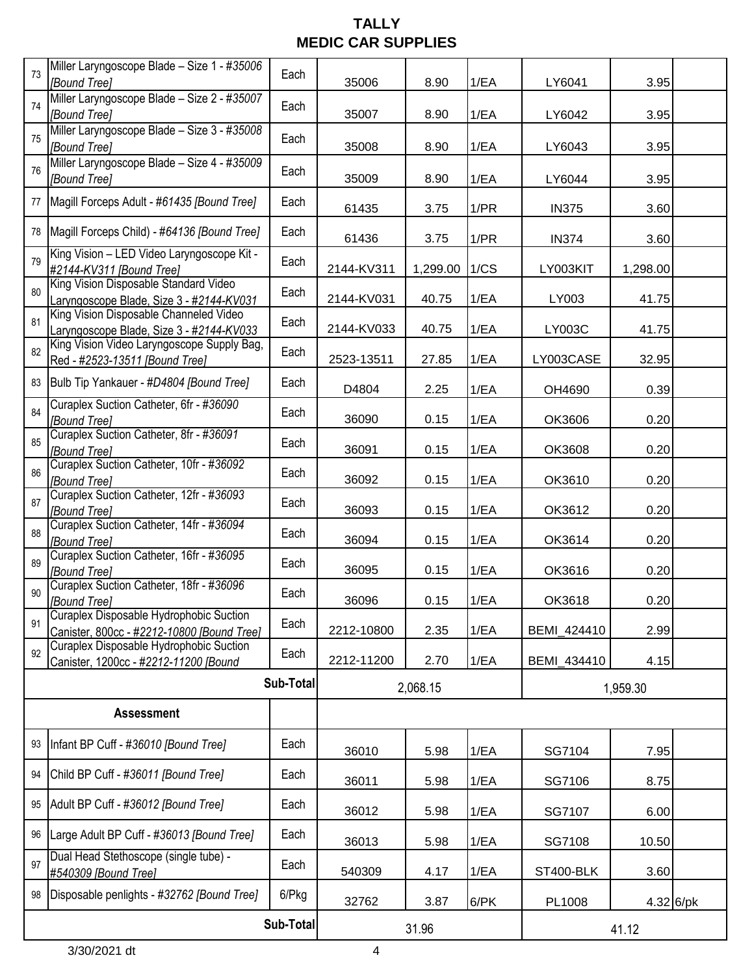| 73        | Miller Laryngoscope Blade - Size 1 - #35006<br>[Bound Tree]                           | Each      | 35006      | 8.90     | 1/EA | LY6041       | 3.95     |           |
|-----------|---------------------------------------------------------------------------------------|-----------|------------|----------|------|--------------|----------|-----------|
| 74        | Miller Laryngoscope Blade - Size 2 - #35007<br>[Bound Tree]                           | Each      | 35007      | 8.90     | 1/EA | LY6042       | 3.95     |           |
| 75        | Miller Laryngoscope Blade - Size 3 - #35008<br>[Bound Tree]                           | Each      | 35008      | 8.90     | 1/EA | LY6043       | 3.95     |           |
| 76        | Miller Laryngoscope Blade - Size 4 - #35009<br>[Bound Tree]                           | Each      | 35009      | 8.90     | 1/EA | LY6044       | 3.95     |           |
| 77        | Magill Forceps Adult - #61435 [Bound Tree]                                            | Each      | 61435      | 3.75     | 1/PR | <b>IN375</b> | 3.60     |           |
| 78        | Magill Forceps Child) - #64136 [Bound Tree]                                           | Each      | 61436      | 3.75     | 1/PR | <b>IN374</b> | 3.60     |           |
| 79        | King Vision - LED Video Laryngoscope Kit -<br>#2144-KV311 [Bound Tree]                | Each      | 2144-KV311 | 1,299.00 | 1/CS | LY003KIT     | 1,298.00 |           |
| 80        | King Vision Disposable Standard Video<br>Laryngoscope Blade, Size 3 - #2144-KV031     | Each      | 2144-KV031 | 40.75    | 1/EA | LY003        | 41.75    |           |
| 81        | King Vision Disposable Channeled Video<br>Laryngoscope Blade, Size 3 - #2144-KV033    | Each      | 2144-KV033 | 40.75    | 1/EA | LY003C       | 41.75    |           |
| 82        | King Vision Video Laryngoscope Supply Bag,<br>Red - #2523-13511 [Bound Tree]          | Each      | 2523-13511 | 27.85    | 1/EA | LY003CASE    | 32.95    |           |
| 83        | Bulb Tip Yankauer - #D4804 [Bound Tree]                                               | Each      | D4804      | 2.25     | 1/EA | OH4690       | 0.39     |           |
| 84        | Curaplex Suction Catheter, 6fr - #36090<br>[Bound Tree]                               | Each      | 36090      | 0.15     | 1/EA | OK3606       | 0.20     |           |
| 85        | Curaplex Suction Catheter, 8fr - #36091<br>[Bound Tree]                               | Each      | 36091      | 0.15     | 1/EA | OK3608       | 0.20     |           |
| 86        | Curaplex Suction Catheter, 10fr - #36092<br><b>IBound Treel</b>                       | Each      | 36092      | 0.15     | 1/EA | OK3610       | 0.20     |           |
| 87        | Curaplex Suction Catheter, 12fr - #36093<br><b>IBound Treel</b>                       | Each      | 36093      | 0.15     | 1/EA | OK3612       | 0.20     |           |
| 88        | Curaplex Suction Catheter, 14fr - #36094<br><b>[Bound Tree]</b>                       | Each      | 36094      | 0.15     | 1/EA | OK3614       | 0.20     |           |
| 89        | Curaplex Suction Catheter, 16fr - #36095<br>[Bound Tree]                              | Each      | 36095      | 0.15     | 1/EA | OK3616       | 0.20     |           |
| 90        | Curaplex Suction Catheter, 18fr - #36096<br><b>Bound Treel</b>                        | Each      | 36096      | 0.15     | 1/EA | OK3618       | 0.20     |           |
| 91        | Curaplex Disposable Hydrophobic Suction<br>Canister, 800cc - #2212-10800 [Bound Tree] | Each      | 2212-10800 | 2.35     | 1/EA | BEMI_424410  | 2.99     |           |
| 92        | Curaplex Disposable Hydrophobic Suction<br>Canister, 1200cc - #2212-11200 [Bound      | Each      | 2212-11200 | 2.70     | 1/EA | BEMI_434410  | 4.15     |           |
|           |                                                                                       | Sub-Total |            | 2,068.15 |      |              | 1,959.30 |           |
|           | <b>Assessment</b>                                                                     |           |            |          |      |              |          |           |
| 93        | Infant BP Cuff - #36010 [Bound Tree]                                                  | Each      | 36010      | 5.98     | 1/EA | SG7104       | 7.95     |           |
| 94        | Child BP Cuff - #36011 [Bound Tree]                                                   | Each      | 36011      | 5.98     | 1/EA | SG7106       | 8.75     |           |
| 95        | Adult BP Cuff - #36012 [Bound Tree]                                                   | Each      | 36012      | 5.98     | 1/EA | SG7107       | 6.00     |           |
| 96        | Large Adult BP Cuff - #36013 [Bound Tree]                                             | Each      | 36013      | 5.98     | 1/EA | SG7108       | 10.50    |           |
| 97        | Dual Head Stethoscope (single tube) -<br>#540309 [Bound Tree]                         | Each      | 540309     | 4.17     | 1/EA | ST400-BLK    | 3.60     |           |
| 98        | Disposable penlights - #32762 [Bound Tree]                                            | 6/Pkg     | 32762      | 3.87     | 6/PK | PL1008       |          | 4.32 6/pk |
| Sub-Total |                                                                                       |           |            | 31.96    |      | 41.12        |          |           |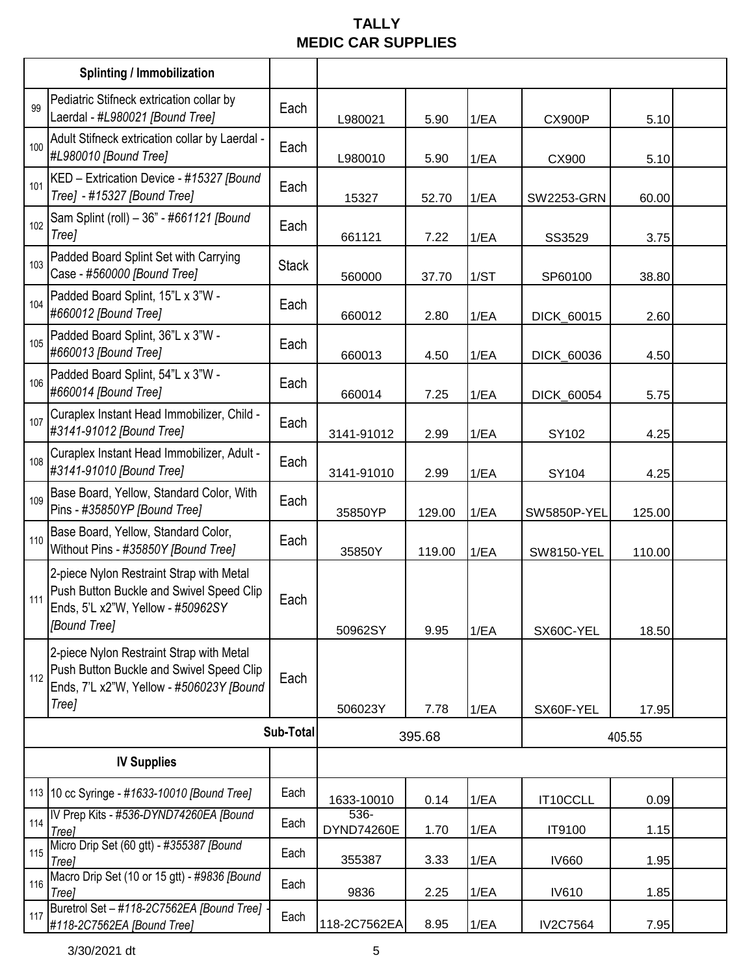|     | <b>Splinting / Immobilization</b>                                                                                                         |              |                       |        |      |                    |        |  |
|-----|-------------------------------------------------------------------------------------------------------------------------------------------|--------------|-----------------------|--------|------|--------------------|--------|--|
| 99  | Pediatric Stifneck extrication collar by<br>Laerdal - #L980021 [Bound Tree]                                                               | Each         | L980021               | 5.90   | 1/EA | <b>CX900P</b>      | 5.10   |  |
| 100 | Adult Stifneck extrication collar by Laerdal -<br>#L980010 [Bound Tree]                                                                   | Each         | L980010               | 5.90   | 1/EA | CX900              | 5.10   |  |
| 101 | KED - Extrication Device - #15327 [Bound<br>Tree] - #15327 [Bound Tree]                                                                   | Each         | 15327                 | 52.70  | 1/EA | <b>SW2253-GRN</b>  | 60.00  |  |
| 102 | Sam Splint (roll) - 36" - #661121 [Bound<br>Tree]                                                                                         | Each         | 661121                | 7.22   | 1/EA | SS3529             | 3.75   |  |
| 103 | Padded Board Splint Set with Carrying<br>Case - #560000 [Bound Tree]                                                                      | <b>Stack</b> | 560000                | 37.70  | 1/ST | SP60100            | 38.80  |  |
| 104 | Padded Board Splint, 15"L x 3"W -<br>#660012 [Bound Tree]                                                                                 | Each         | 660012                | 2.80   | 1/EA | DICK_60015         | 2.60   |  |
| 105 | Padded Board Splint, 36"L x 3"W -<br>#660013 [Bound Tree]                                                                                 | Each         | 660013                | 4.50   | 1/EA | DICK_60036         | 4.50   |  |
| 106 | Padded Board Splint, 54"L x 3"W -<br>#660014 [Bound Tree]                                                                                 | Each         | 660014                | 7.25   | 1/EA | DICK_60054         | 5.75   |  |
| 107 | Curaplex Instant Head Immobilizer, Child -<br>#3141-91012 [Bound Tree]                                                                    | Each         | 3141-91012            | 2.99   | 1/EA | SY102              | 4.25   |  |
| 108 | Curaplex Instant Head Immobilizer, Adult -<br>#3141-91010 [Bound Tree]                                                                    | Each         | 3141-91010            | 2.99   | 1/EA | SY104              | 4.25   |  |
| 109 | Base Board, Yellow, Standard Color, With<br>Pins - #35850YP [Bound Tree]                                                                  | Each         | 35850YP               | 129.00 | 1/EA | <b>SW5850P-YEL</b> | 125.00 |  |
| 110 | Base Board, Yellow, Standard Color,<br>Without Pins - #35850Y [Bound Tree]                                                                | Each         | 35850Y                | 119.00 | 1/EA | <b>SW8150-YEL</b>  | 110.00 |  |
| 111 | 2-piece Nylon Restraint Strap with Metal<br>Push Button Buckle and Swivel Speed Clip<br>Ends, 5'L x2"W, Yellow - #50962SY<br>[Bound Tree] | Each         | 50962SY               | 9.95   | 1/EA | SX60C-YEL          | 18.50  |  |
| 112 | 2-piece Nylon Restraint Strap with Metal<br>Push Button Buckle and Swivel Speed Clip<br>Ends, 7'L x2"W, Yellow - #506023Y [Bound<br>Tree] | Each         | 506023Y               | 7.78   | 1/EA | SX60F-YEL          | 17.95  |  |
|     |                                                                                                                                           | Sub-Total    |                       | 395.68 |      |                    | 405.55 |  |
|     | <b>IV Supplies</b>                                                                                                                        |              |                       |        |      |                    |        |  |
|     | 113 10 cc Syringe - #1633-10010 [Bound Tree]                                                                                              | Each         | 1633-10010            | 0.14   | 1/EA | IT10CCLL           | 0.09   |  |
| 114 | IV Prep Kits - #536-DYND74260EA [Bound]<br>Tree]                                                                                          | Each         | $536 -$<br>DYND74260E | 1.70   | 1/EA | IT9100             | 1.15   |  |
| 115 | Micro Drip Set (60 gtt) - #355387 [Bound<br><b>Treel</b>                                                                                  | Each         | 355387                | 3.33   | 1/EA | <b>IV660</b>       | 1.95   |  |
| 116 | Macro Drip Set (10 or 15 gtt) - #9836 [Bound<br><b>Treel</b>                                                                              | Each         | 9836                  | 2.25   | 1/EA | <b>IV610</b>       | 1.85   |  |
| 117 | Buretrol Set - #118-2C7562EA [Bound Tree]<br>#118-2C7562EA [Bound Tree]                                                                   | Each         | 118-2C7562EA          | 8.95   | 1/EA | <b>IV2C7564</b>    | 7.95   |  |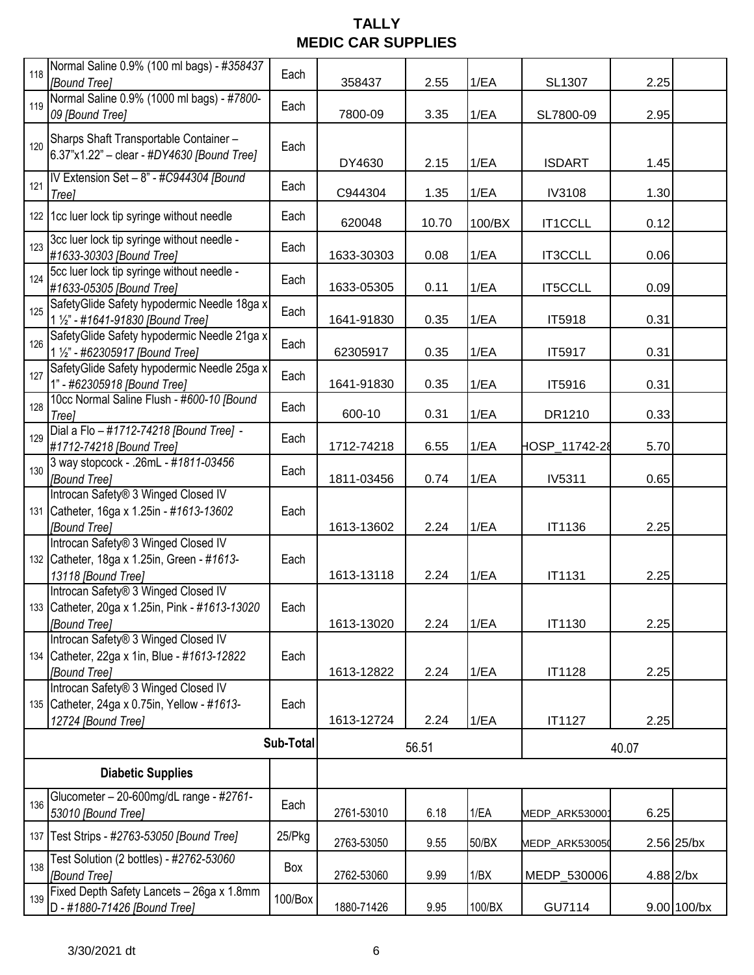| 118                      | Normal Saline 0.9% (100 ml bags) - #358437<br>[Bound Tree]                                                 | Each      | 358437     | 2.55  | 1/EA   | SL1307         | 2.25        |              |
|--------------------------|------------------------------------------------------------------------------------------------------------|-----------|------------|-------|--------|----------------|-------------|--------------|
| 119                      | Normal Saline 0.9% (1000 ml bags) - #7800-<br>09 [Bound Tree]                                              | Each      | 7800-09    | 3.35  | 1/EA   | SL7800-09      | 2.95        |              |
| 120                      | Sharps Shaft Transportable Container -<br>6.37"x1.22" - clear - #DY4630 [Bound Tree]                       | Each      | DY4630     | 2.15  | 1/EA   | <b>ISDART</b>  | 1.45        |              |
| 121                      | IV Extension Set - 8" - #C944304 [Bound]<br><b>Tree</b>                                                    | Each      | C944304    | 1.35  | 1/EA   | <b>IV3108</b>  | 1.30        |              |
|                          | 122 1cc luer lock tip syringe without needle                                                               | Each      | 620048     | 10.70 | 100/BX | <b>IT1CCLL</b> | 0.12        |              |
| 123                      | 3cc luer lock tip syringe without needle -<br>#1633-30303 [Bound Tree]                                     | Each      | 1633-30303 | 0.08  | 1/EA   | <b>IT3CCLL</b> | 0.06        |              |
| 124                      | 5cc luer lock tip syringe without needle -<br>#1633-05305 [Bound Tree]                                     | Each      | 1633-05305 | 0.11  | 1/EA   | <b>IT5CCLL</b> | 0.09        |              |
| 125                      | SafetyGlide Safety hypodermic Needle 18ga x<br>1 1/2" - #1641-91830 [Bound Tree]                           | Each      | 1641-91830 | 0.35  | 1/EA   | IT5918         | 0.31        |              |
| 126                      | SafetyGlide Safety hypodermic Needle 21ga x<br>1 1/2" - #62305917 [Bound Tree]                             | Each      | 62305917   | 0.35  | 1/EA   | IT5917         | 0.31        |              |
| 127                      | Safety Glide Safety hypodermic Needle 25ga x<br>1" - #62305918 [Bound Tree]                                | Each      | 1641-91830 | 0.35  | 1/EA   | IT5916         | 0.31        |              |
| 128                      | 10cc Normal Saline Flush - #600-10 [Bound<br>Tree]                                                         | Each      | 600-10     | 0.31  | 1/EA   | DR1210         | 0.33        |              |
| 129                      | Dial a Flo - #1712-74218 [Bound Tree] -<br>#1712-74218 [Bound Tree]                                        | Each      | 1712-74218 | 6.55  | 1/EA   | HOSP_11742-28  | 5.70        |              |
| 130                      | 3 way stopcock - .26mL - #1811-03456<br>[Bound Tree]                                                       | Each      | 1811-03456 | 0.74  | 1/EA   | IV5311         | 0.65        |              |
|                          | Introcan Safety® 3 Winged Closed IV<br>131 Catheter, 16ga x 1.25in - #1613-13602<br>[Bound Tree]           | Each      | 1613-13602 | 2.24  | 1/EA   | IT1136         | 2.25        |              |
|                          | Introcan Safety® 3 Winged Closed IV<br>132 Catheter, 18ga x 1.25in, Green - #1613-<br>13118 [Bound Tree]   | Each      | 1613-13118 | 2.24  | 1/EA   | IT1131         | 2.25        |              |
|                          | Introcan Safety® 3 Winged Closed IV<br>133 Catheter, 20ga x 1.25in, Pink - #1613-13020<br>[Bound Tree]     | Each      | 1613-13020 | 2.24  | 1/EA   | IT1130         | 2.25        |              |
|                          | Introcan Safety® 3 Winged Closed IV<br>134 Catheter, 22ga x 1in, Blue - #1613-12822<br><b>IBound Treel</b> | Each      | 1613-12822 | 2.24  | 1/EA   | IT1128         | 2.25        |              |
|                          | Introcan Safety® 3 Winged Closed IV<br>135 Catheter, 24ga x 0.75in, Yellow - #1613-<br>12724 [Bound Tree]  | Each      | 1613-12724 | 2.24  | 1/EA   | IT1127         | 2.25        |              |
|                          |                                                                                                            | Sub-Total |            | 56.51 |        |                | 40.07       |              |
| <b>Diabetic Supplies</b> |                                                                                                            |           |            |       |        |                |             |              |
| 136                      | Glucometer - 20-600mg/dL range - #2761-<br>53010 [Bound Tree]                                              | Each      | 2761-53010 | 6.18  | 1/EA   | MEDP_ARK53000  | 6.25        |              |
|                          | 137 Test Strips - #2763-53050 [Bound Tree]                                                                 | 25/Pkg    | 2763-53050 | 9.55  | 50/BX  | MEDP_ARK530050 |             | $2.56$ 25/bx |
| 138                      | Test Solution (2 bottles) - #2762-53060<br>[Bound Tree]                                                    | Box       | 2762-53060 | 9.99  | 1/BX   | MEDP_530006    | $4.88$ 2/bx |              |
| 139                      | Fixed Depth Safety Lancets - 26ga x 1.8mm<br>D - #1880-71426 [Bound Tree]                                  | 100/Box   | 1880-71426 | 9.95  | 100/BX | GU7114         |             | 9.00 100/bx  |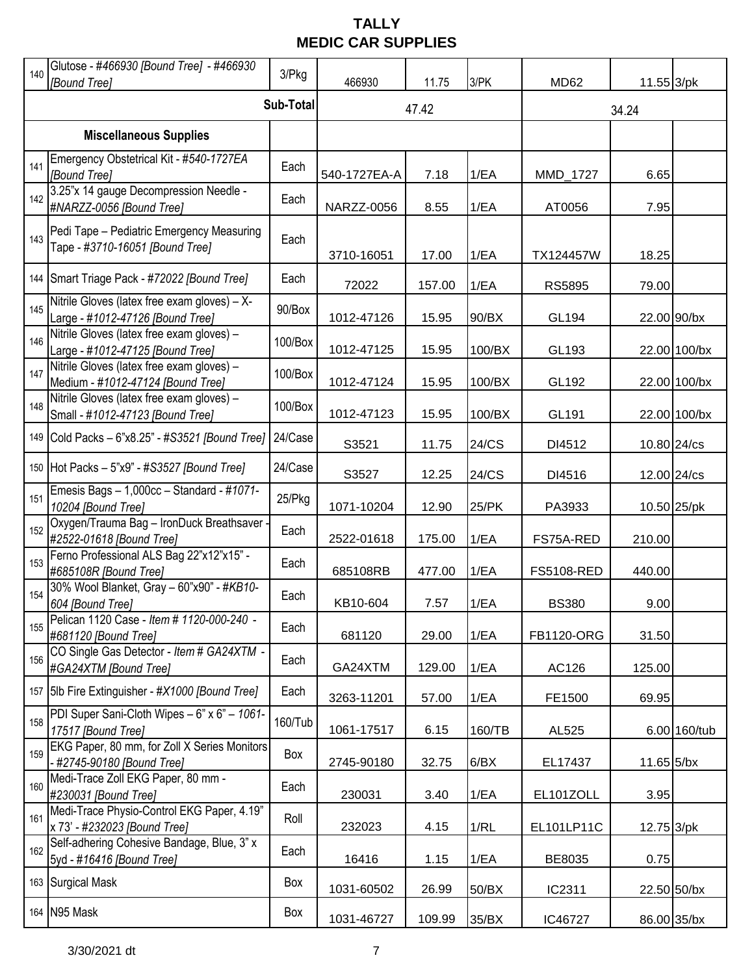| 140 | Glutose - #466930 [Bound Tree] - #466930<br>[Bound Tree]                         | 3/Pkg     | 466930            | 11.75  | 3/PK   | MD <sub>62</sub>  | 11.55 3/pk  |              |  |
|-----|----------------------------------------------------------------------------------|-----------|-------------------|--------|--------|-------------------|-------------|--------------|--|
|     |                                                                                  | Sub-Total |                   | 47.42  |        | 34.24             |             |              |  |
|     | <b>Miscellaneous Supplies</b>                                                    |           |                   |        |        |                   |             |              |  |
| 141 | Emergency Obstetrical Kit - #540-1727EA<br>[Bound Tree]                          | Each      | 540-1727EA-A      | 7.18   | 1/EA   | MMD_1727          | 6.65        |              |  |
| 142 | 3.25"x 14 gauge Decompression Needle -<br>#NARZZ-0056 [Bound Tree]               | Each      | <b>NARZZ-0056</b> | 8.55   | 1/EA   | AT0056            | 7.95        |              |  |
| 143 | Pedi Tape - Pediatric Emergency Measuring<br>Tape - #3710-16051 [Bound Tree]     | Each      | 3710-16051        | 17.00  | 1/EA   | TX124457W         | 18.25       |              |  |
| 144 | Smart Triage Pack - #72022 [Bound Tree]                                          | Each      | 72022             | 157.00 | 1/EA   | <b>RS5895</b>     | 79.00       |              |  |
| 145 | Nitrile Gloves (latex free exam gloves) - X-<br>Large - #1012-47126 [Bound Tree] | 90/Box    | 1012-47126        | 15.95  | 90/BX  | GL194             | 22.00 90/bx |              |  |
| 146 | Nitrile Gloves (latex free exam gloves) -<br>Large - #1012-47125 [Bound Tree]    | 100/Box   | 1012-47125        | 15.95  | 100/BX | GL193             |             | 22.00 100/bx |  |
| 147 | Nitrile Gloves (latex free exam gloves) -<br>Medium - #1012-47124 [Bound Tree]   | 100/Box   | 1012-47124        | 15.95  | 100/BX | GL192             |             | 22.00 100/bx |  |
| 148 | Nitrile Gloves (latex free exam gloves) -<br>Small - #1012-47123 [Bound Tree]    | 100/Box   | 1012-47123        | 15.95  | 100/BX | GL191             |             | 22.00 100/bx |  |
| 149 | Cold Packs $-6$ "x8.25" - #S3521 [Bound Tree]                                    | 24/Case   | S3521             | 11.75  | 24/CS  | DI4512            | 10.80 24/cs |              |  |
| 150 | Hot Packs - 5"x9" - #S3527 [Bound Tree]                                          | 24/Case   | S3527             | 12.25  | 24/CS  | DI4516            | 12.00 24/cs |              |  |
| 151 | Emesis Bags - 1,000cc - Standard - #1071-<br>10204 [Bound Tree]                  | 25/Pkg    | 1071-10204        | 12.90  | 25/PK  | PA3933            |             | 10.50 25/pk  |  |
| 152 | Oxygen/Trauma Bag - IronDuck Breathsaver<br>#2522-01618 [Bound Tree]             | Each      | 2522-01618        | 175.00 | 1/EA   | FS75A-RED         | 210.00      |              |  |
| 153 | Ferno Professional ALS Bag 22"x12"x15" -<br>#685108R [Bound Tree]                | Each      | 685108RB          | 477.00 | 1/EA   | <b>FS5108-RED</b> | 440.00      |              |  |
| 154 | 30% Wool Blanket, Gray - 60"x90" - #KB10-<br>604 [Bound Tree]                    | Each      | KB10-604          | 7.57   | 1/EA   | <b>BS380</b>      | 9.00        |              |  |
| 155 | Pelican 1120 Case - Item # 1120-000-240 -<br>#681120 [Bound Tree]                | Each      | 681120            | 29.00  | 1/EA   | FB1120-ORG        | 31.50       |              |  |
| 156 | CO Single Gas Detector - Item # GA24XTM -<br>#GA24XTM [Bound Tree]               | Each      | GA24XTM           | 129.00 | 1/EA   | AC126             | 125.00      |              |  |
|     | 157 5lb Fire Extinguisher - #X1000 [Bound Tree]                                  | Each      | 3263-11201        | 57.00  | 1/EA   | FE1500            | 69.95       |              |  |
| 158 | PDI Super Sani-Cloth Wipes - 6" x 6" - 1061-<br>17517 [Bound Tree]               | 160/Tub   | 1061-17517        | 6.15   | 160/TB | AL525             |             | 6.00 160/tub |  |
| 159 | EKG Paper, 80 mm, for Zoll X Series Monitors<br>- #2745-90180 [Bound Tree]       | Box       | 2745-90180        | 32.75  | 6/BX   | EL17437           | 11.65 5/bx  |              |  |
| 160 | Medi-Trace Zoll EKG Paper, 80 mm -<br>#230031 [Bound Tree]                       | Each      | 230031            | 3.40   | 1/EA   | EL101ZOLL         | 3.95        |              |  |
| 161 | Medi-Trace Physio-Control EKG Paper, 4.19"<br>x 73' - #232023 [Bound Tree]       | Roll      | 232023            | 4.15   | 1/RL   | EL101LP11C        | 12.75 3/pk  |              |  |
| 162 | Self-adhering Cohesive Bandage, Blue, 3" x<br>5yd - #16416 [Bound Tree]          | Each      | 16416             | 1.15   | 1/EA   | BE8035            | 0.75        |              |  |
|     | 163 Surgical Mask                                                                | Box       | 1031-60502        | 26.99  | 50/BX  | IC2311            | 22.50 50/bx |              |  |
|     | 164 N95 Mask                                                                     | Box       | 1031-46727        | 109.99 | 35/BX  | IC46727           | 86.00 35/bx |              |  |